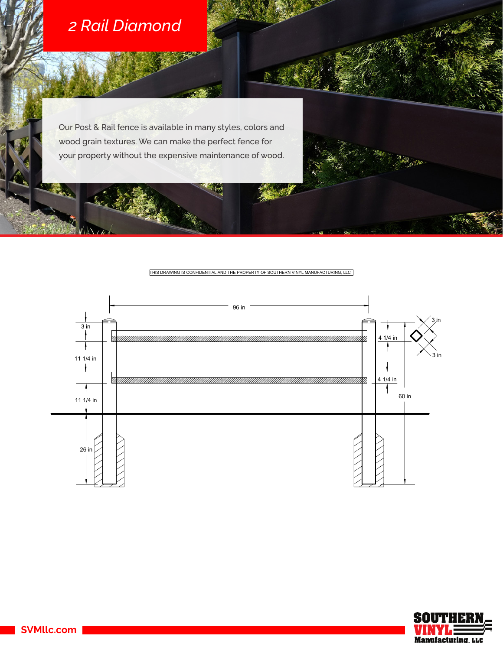

IΑ

Our Post & Rail fence is available in many styles, colors and wood grain textures. We can make the perfect fence for your property without the expensive maintenance of wood.

THIS DRAWING IS CONFIDENTIAL AND THE PROPERTY OF SOUTHERN VINYL MANUFACTURING, LLC